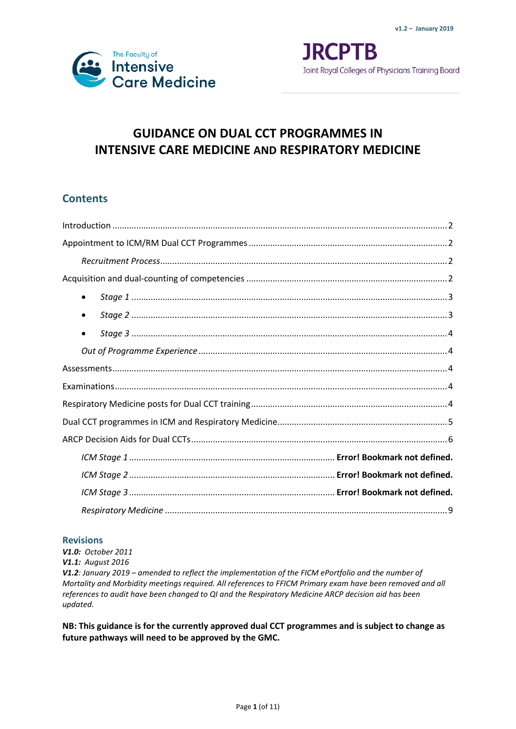

**JRCPTB** Joint Royal Colleges of Physicians Training Board

# **GUIDANCE ON DUAL CCT PROGRAMMES IN INTENSIVE CARE MEDICINE AND RESPIRATORY MEDICINE**

## **Contents**

| ٠ |
|---|
|   |
| ٠ |
|   |
|   |
|   |
|   |
|   |
|   |
|   |
|   |
|   |
|   |

### **Revisions**

*V1.0: October 2011 V1.1: August 2016 V1.2: January 2019 – amended to reflect the implementation of the FICM ePortfolio and the number of Mortality and Morbidity meetings required. All references to FFICM Primary exam have been removed and all references to audit have been changed to QI and the Respiratory Medicine ARCP decision aid has been updated.*

**NB: This guidance is for the currently approved dual CCT programmes and is subject to change as future pathways will need to be approved by the GMC.**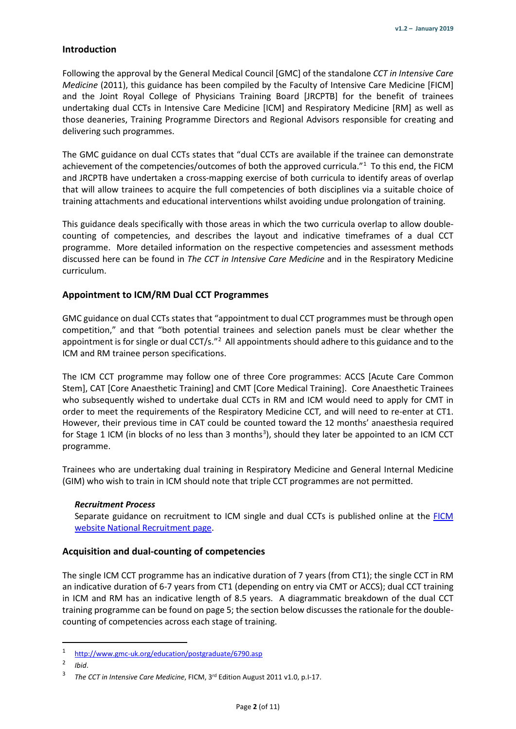#### <span id="page-1-0"></span>**Introduction**

Following the approval by the General Medical Council [GMC] of the standalone *CCT in Intensive Care Medicine* (2011), this guidance has been compiled by the Faculty of Intensive Care Medicine [FICM] and the Joint Royal College of Physicians Training Board [JRCPTB] for the benefit of trainees undertaking dual CCTs in Intensive Care Medicine [ICM] and Respiratory Medicine [RM] as well as those deaneries, Training Programme Directors and Regional Advisors responsible for creating and delivering such programmes.

The GMC guidance on dual CCTs states that "dual CCTs are available if the trainee can demonstrate achievement of the competencies/outcomes of both the approved curricula."<sup>[1](#page-1-4)</sup> To this end, the FICM and JRCPTB have undertaken a cross-mapping exercise of both curricula to identify areas of overlap that will allow trainees to acquire the full competencies of both disciplines via a suitable choice of training attachments and educational interventions whilst avoiding undue prolongation of training.

This guidance deals specifically with those areas in which the two curricula overlap to allow doublecounting of competencies, and describes the layout and indicative timeframes of a dual CCT programme. More detailed information on the respective competencies and assessment methods discussed here can be found in *The CCT in Intensive Care Medicine* and in the Respiratory Medicine curriculum.

#### <span id="page-1-1"></span>**Appointment to ICM/RM Dual CCT Programmes**

GMC guidance on dual CCTs states that "appointment to dual CCT programmes must be through open competition," and that "both potential trainees and selection panels must be clear whether the appointment is for single or dual CCT/s."<sup>[2](#page-1-5)</sup> All appointments should adhere to this guidance and to the ICM and RM trainee person specifications.

The ICM CCT programme may follow one of three Core programmes: ACCS [Acute Care Common Stem], CAT [Core Anaesthetic Training] and CMT [Core Medical Training]. Core Anaesthetic Trainees who subsequently wished to undertake dual CCTs in RM and ICM would need to apply for CMT in order to meet the requirements of the Respiratory Medicine CCT*,* and will need to re-enter at CT1. However, their previous time in CAT could be counted toward the 12 months' anaesthesia required for Stage 1 ICM (in blocks of no less than [3](#page-1-6) months<sup>3</sup>), should they later be appointed to an ICM CCT programme.

Trainees who are undertaking dual training in Respiratory Medicine and General Internal Medicine (GIM) who wish to train in ICM should note that triple CCT programmes are not permitted.

#### <span id="page-1-2"></span>*Recruitment Process*

Separate guidance on recruitment to ICM single and dual CCTs is published online at the [FICM](http://ficm.ac.uk/national-recruitment-intensive-care-medicine)  [website National Recruitment page.](http://ficm.ac.uk/national-recruitment-intensive-care-medicine)

#### <span id="page-1-3"></span>**Acquisition and dual-counting of competencies**

The single ICM CCT programme has an indicative duration of 7 years (from CT1); the single CCT in RM an indicative duration of 6-7 years from CT1 (depending on entry via CMT or ACCS); dual CCT training in ICM and RM has an indicative length of 8.5 years. A diagrammatic breakdown of the dual CCT training programme can be found on page 5; the section below discusses the rationale for the doublecounting of competencies across each stage of training.

<span id="page-1-4"></span><sup>1</sup> <http://www.gmc-uk.org/education/postgraduate/6790.asp>

<span id="page-1-6"></span><span id="page-1-5"></span><sup>2</sup> *Ibid*.

<sup>3</sup> *The CCT in Intensive Care Medicine*, FICM, 3rd Edition August 2011 v1.0, p.I-17.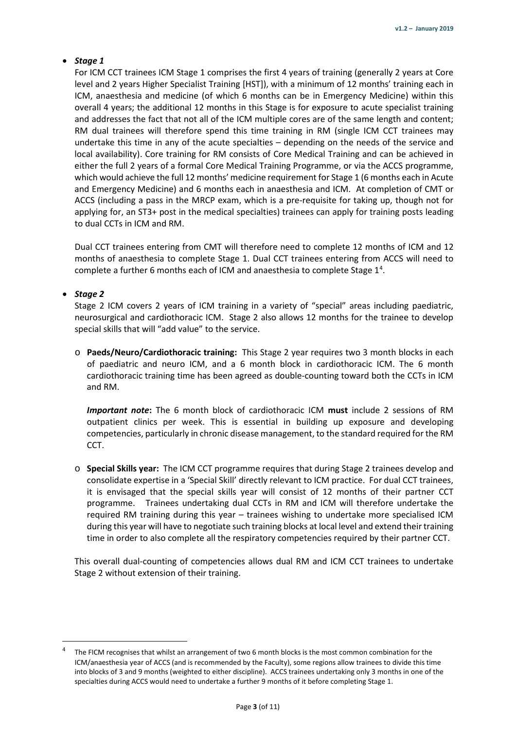### <span id="page-2-0"></span>• *Stage 1*

For ICM CCT trainees ICM Stage 1 comprises the first 4 years of training (generally 2 years at Core level and 2 years Higher Specialist Training [HST]), with a minimum of 12 months' training each in ICM, anaesthesia and medicine (of which 6 months can be in Emergency Medicine) within this overall 4 years; the additional 12 months in this Stage is for exposure to acute specialist training and addresses the fact that not all of the ICM multiple cores are of the same length and content; RM dual trainees will therefore spend this time training in RM (single ICM CCT trainees may undertake this time in any of the acute specialties – depending on the needs of the service and local availability). Core training for RM consists of Core Medical Training and can be achieved in either the full 2 years of a formal Core Medical Training Programme, or via the ACCS programme, which would achieve the full 12 months' medicine requirement for Stage 1 (6 months each in Acute and Emergency Medicine) and 6 months each in anaesthesia and ICM. At completion of CMT or ACCS (including a pass in the MRCP exam, which is a pre-requisite for taking up, though not for applying for, an ST3+ post in the medical specialties) trainees can apply for training posts leading to dual CCTs in ICM and RM.

Dual CCT trainees entering from CMT will therefore need to complete 12 months of ICM and 12 months of anaesthesia to complete Stage 1. Dual CCT trainees entering from ACCS will need to complete a further 6 months each of ICM and anaesthesia to complete Stage  $1<sup>4</sup>$  $1<sup>4</sup>$  $1<sup>4</sup>$ .

#### <span id="page-2-1"></span>• *Stage 2*

Stage 2 ICM covers 2 years of ICM training in a variety of "special" areas including paediatric, neurosurgical and cardiothoracic ICM. Stage 2 also allows 12 months for the trainee to develop special skills that will "add value" to the service.

o **Paeds/Neuro/Cardiothoracic training:** This Stage 2 year requires two 3 month blocks in each of paediatric and neuro ICM, and a 6 month block in cardiothoracic ICM. The 6 month cardiothoracic training time has been agreed as double-counting toward both the CCTs in ICM and RM.

*Important note***:** The 6 month block of cardiothoracic ICM **must** include 2 sessions of RM outpatient clinics per week. This is essential in building up exposure and developing competencies, particularly in chronic disease management, to the standard required for the RM CCT.

o **Special Skills year:** The ICM CCT programme requires that during Stage 2 trainees develop and consolidate expertise in a 'Special Skill' directly relevant to ICM practice. For dual CCT trainees, it is envisaged that the special skills year will consist of 12 months of their partner CCT programme. Trainees undertaking dual CCTs in RM and ICM will therefore undertake the required RM training during this year – trainees wishing to undertake more specialised ICM during this year will have to negotiate such training blocks at local level and extend their training time in order to also complete all the respiratory competencies required by their partner CCT.

This overall dual-counting of competencies allows dual RM and ICM CCT trainees to undertake Stage 2 without extension of their training.

<span id="page-2-2"></span>The FICM recognises that whilst an arrangement of two 6 month blocks is the most common combination for the ICM/anaesthesia year of ACCS (and is recommended by the Faculty), some regions allow trainees to divide this time into blocks of 3 and 9 months (weighted to either discipline). ACCS trainees undertaking only 3 months in one of the specialties during ACCS would need to undertake a further 9 months of it before completing Stage 1.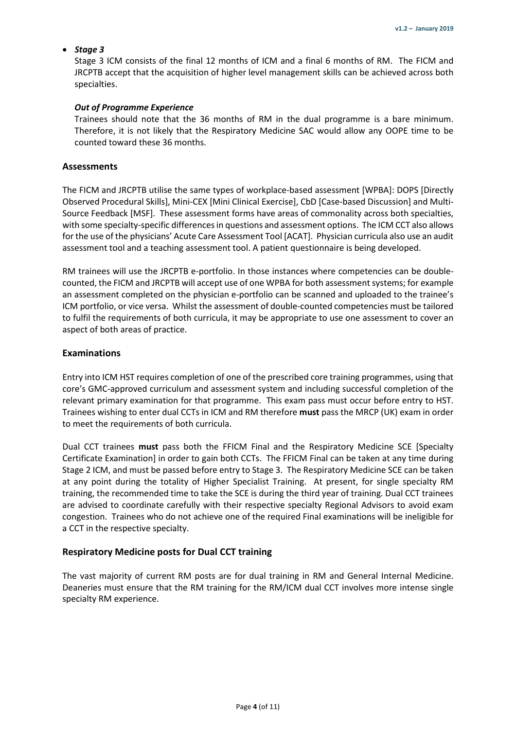#### <span id="page-3-0"></span>• *Stage 3*

Stage 3 ICM consists of the final 12 months of ICM and a final 6 months of RM. The FICM and JRCPTB accept that the acquisition of higher level management skills can be achieved across both specialties.

#### <span id="page-3-1"></span>*Out of Programme Experience*

Trainees should note that the 36 months of RM in the dual programme is a bare minimum. Therefore, it is not likely that the Respiratory Medicine SAC would allow any OOPE time to be counted toward these 36 months.

#### <span id="page-3-2"></span>**Assessments**

The FICM and JRCPTB utilise the same types of workplace-based assessment [WPBA]: DOPS [Directly Observed Procedural Skills], Mini-CEX [Mini Clinical Exercise], CbD [Case-based Discussion] and Multi-Source Feedback [MSF]. These assessment forms have areas of commonality across both specialties, with some specialty-specific differences in questions and assessment options. The ICM CCT also allows for the use of the physicians' Acute Care Assessment Tool [ACAT]. Physician curricula also use an audit assessment tool and a teaching assessment tool. A patient questionnaire is being developed.

RM trainees will use the JRCPTB e-portfolio. In those instances where competencies can be doublecounted, the FICM and JRCPTB will accept use of one WPBA for both assessment systems; for example an assessment completed on the physician e-portfolio can be scanned and uploaded to the trainee's ICM portfolio, or vice versa. Whilst the assessment of double-counted competencies must be tailored to fulfil the requirements of both curricula, it may be appropriate to use one assessment to cover an aspect of both areas of practice.

#### <span id="page-3-3"></span>**Examinations**

Entry into ICM HST requires completion of one of the prescribed core training programmes, using that core's GMC-approved curriculum and assessment system and including successful completion of the relevant primary examination for that programme. This exam pass must occur before entry to HST. Trainees wishing to enter dual CCTs in ICM and RM therefore **must** pass the MRCP (UK) exam in order to meet the requirements of both curricula.

Dual CCT trainees **must** pass both the FFICM Final and the Respiratory Medicine SCE [Specialty Certificate Examination] in order to gain both CCTs. The FFICM Final can be taken at any time during Stage 2 ICM, and must be passed before entry to Stage 3. The Respiratory Medicine SCE can be taken at any point during the totality of Higher Specialist Training. At present, for single specialty RM training, the recommended time to take the SCE is during the third year of training. Dual CCT trainees are advised to coordinate carefully with their respective specialty Regional Advisors to avoid exam congestion. Trainees who do not achieve one of the required Final examinations will be ineligible for a CCT in the respective specialty.

#### <span id="page-3-4"></span>**Respiratory Medicine posts for Dual CCT training**

The vast majority of current RM posts are for dual training in RM and General Internal Medicine. Deaneries must ensure that the RM training for the RM/ICM dual CCT involves more intense single specialty RM experience.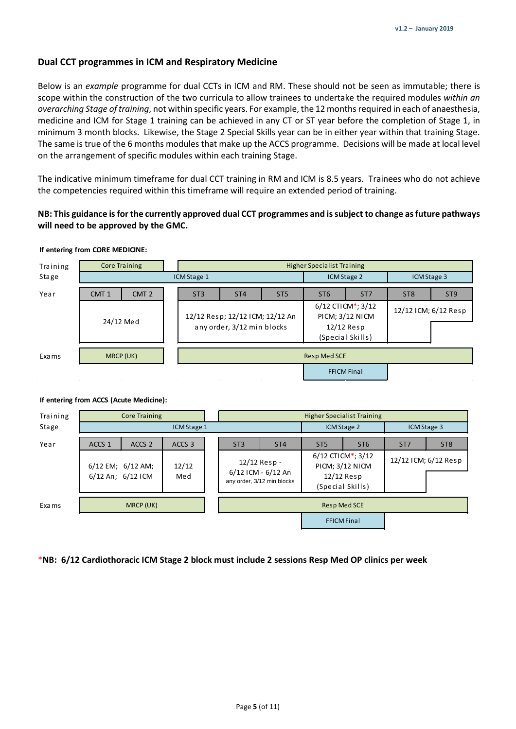#### <span id="page-4-0"></span>**Dual CCT programmes in ICM and Respiratory Medicine**

Below is an *example* programme for dual CCTs in ICM and RM. These should not be seen as immutable; there is scope within the construction of the two curricula to allow trainees to undertake the required modules *within an overarching Stage of training*, not within specific years. For example, the 12 months required in each of anaesthesia, medicine and ICM for Stage 1 training can be achieved in any CT or ST year before the completion of Stage 1, in minimum 3 month blocks. Likewise, the Stage 2 Special Skills year can be in either year within that training Stage. The same is true of the 6 months modules that make up the ACCS programme. Decisions will be made at local level on the arrangement of specific modules within each training Stage.

The indicative minimum timeframe for dual CCT training in RM and ICM is 8.5 years. Trainees who do not achieve the competencies required within this timeframe will require an extended period of training.

#### **NB: This guidance is for the currently approved dual CCT programmes and is subject to change as future pathways will need to be approved by the GMC.**

#### **If entering from CORE MEDICINE:**

| Training     | <b>Core Training</b>                 |  | <b>Higher Specialist Training</b>                             |                 |                 |                                                                          |                 |                      |                 |  |
|--------------|--------------------------------------|--|---------------------------------------------------------------|-----------------|-----------------|--------------------------------------------------------------------------|-----------------|----------------------|-----------------|--|
| Stage        |                                      |  | ICM Stage 1                                                   |                 |                 | ICM Stage 2                                                              |                 | ICM Stage 3          |                 |  |
| Year         | CMT <sub>2</sub><br>CMT <sub>1</sub> |  | ST <sub>3</sub>                                               | ST <sub>4</sub> | ST <sub>5</sub> | ST <sub>6</sub>                                                          | ST <sub>7</sub> | ST <sub>8</sub>      | ST <sub>9</sub> |  |
|              | 24/12 Med                            |  | 12/12 Resp; 12/12 ICM; 12/12 An<br>any order, 3/12 min blocks |                 |                 | 6/12 CTICM*; 3/12<br>PICM; 3/12 NICM<br>$12/12$ Resp<br>(Special Skills) |                 | 12/12 ICM; 6/12 Resp |                 |  |
|              |                                      |  |                                                               |                 |                 |                                                                          |                 |                      |                 |  |
| <b>Exams</b> | MRCP (UK)                            |  | <b>Resp Med SCE</b>                                           |                 |                 |                                                                          |                 |                      |                 |  |
|              |                                      |  |                                                               |                 |                 | <b>FFICM Final</b>                                                       |                 |                      |                 |  |

| Training     | <b>Core Training</b> |                   |                   |  |                                                                  |                 | <b>Higher Specialist Training</b>                                                   |                 |                      |                 |  |
|--------------|----------------------|-------------------|-------------------|--|------------------------------------------------------------------|-----------------|-------------------------------------------------------------------------------------|-----------------|----------------------|-----------------|--|
| Stage        | ICM Stage 1          |                   |                   |  | ICM Stage 2                                                      |                 |                                                                                     | ICM Stage 3     |                      |                 |  |
| Year         | ACCS <sub>1</sub>    | ACCS <sub>2</sub> | ACCS <sub>3</sub> |  | ST <sub>3</sub>                                                  | ST <sub>4</sub> | ST <sub>5</sub>                                                                     | ST <sub>6</sub> | ST <sub>7</sub>      | ST <sub>8</sub> |  |
|              | 6/12 An; 6/12 ICM    | 6/12 EM; 6/12 AM; | 12/12<br>Med      |  | 12/12 Resp -<br>6/12 ICM - 6/12 An<br>any order, 3/12 min blocks |                 | $6/12$ CTICM*; $3/12$<br><b>PICM; 3/12 NICM</b><br>$12/12$ Resp<br>(Special Skills) |                 | 12/12 ICM; 6/12 Resp |                 |  |
|              |                      |                   |                   |  |                                                                  |                 |                                                                                     |                 |                      |                 |  |
| <b>Exams</b> | MRCP (UK)            |                   |                   |  | <b>Resp Med SCE</b>                                              |                 |                                                                                     |                 |                      |                 |  |
|              |                      |                   |                   |  |                                                                  |                 | <b>FFICM Final</b>                                                                  |                 |                      |                 |  |

#### **If entering from ACCS (Acute Medicine):**

\***NB: 6/12 Cardiothoracic ICM Stage 2 block must include 2 sessions Resp Med OP clinics per week**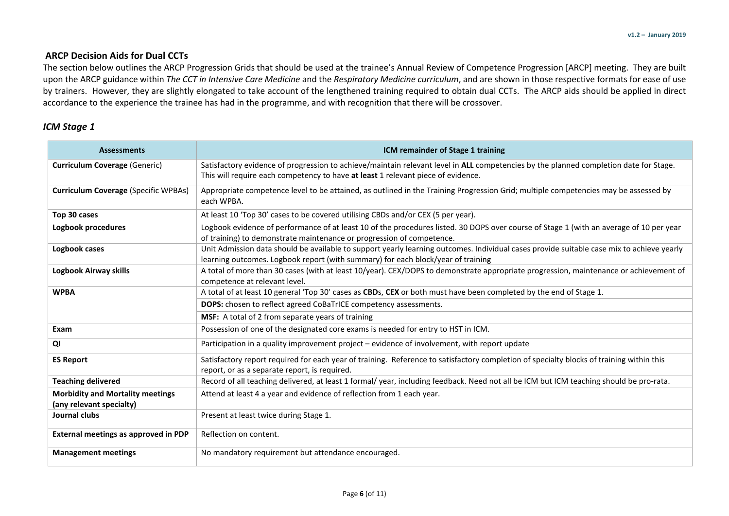### **ARCP Decision Aids for Dual CCTs**

The section below outlines the ARCP Progression Grids that should be used at the trainee's Annual Review of Competence Progression [ARCP] meeting. They are built upon the ARCP guidance within *The CCT in Intensive Care Medicine* and the *Respiratory Medicine curriculum*, and are shown in those respective formats for ease of use by trainers. However, they are slightly elongated to take account of the lengthened training required to obtain dual CCTs. The ARCP aids should be applied in direct accordance to the experience the trainee has had in the programme, and with recognition that there will be crossover.

### *ICM Stage 1*

<span id="page-5-0"></span>

| <b>Assessments</b>                                                  | ICM remainder of Stage 1 training                                                                                                                                                                                             |
|---------------------------------------------------------------------|-------------------------------------------------------------------------------------------------------------------------------------------------------------------------------------------------------------------------------|
| <b>Curriculum Coverage (Generic)</b>                                | Satisfactory evidence of progression to achieve/maintain relevant level in ALL competencies by the planned completion date for Stage.<br>This will require each competency to have at least 1 relevant piece of evidence.     |
| <b>Curriculum Coverage (Specific WPBAs)</b>                         | Appropriate competence level to be attained, as outlined in the Training Progression Grid; multiple competencies may be assessed by<br>each WPBA.                                                                             |
| Top 30 cases                                                        | At least 10 'Top 30' cases to be covered utilising CBDs and/or CEX (5 per year).                                                                                                                                              |
| Logbook procedures                                                  | Logbook evidence of performance of at least 10 of the procedures listed. 30 DOPS over course of Stage 1 (with an average of 10 per year<br>of training) to demonstrate maintenance or progression of competence.              |
| Logbook cases                                                       | Unit Admission data should be available to support yearly learning outcomes. Individual cases provide suitable case mix to achieve yearly<br>learning outcomes. Logbook report (with summary) for each block/year of training |
| Logbook Airway skills                                               | A total of more than 30 cases (with at least 10/year). CEX/DOPS to demonstrate appropriate progression, maintenance or achievement of<br>competence at relevant level.                                                        |
| <b>WPBA</b>                                                         | A total of at least 10 general 'Top 30' cases as CBDs, CEX or both must have been completed by the end of Stage 1.                                                                                                            |
|                                                                     | <b>DOPS:</b> chosen to reflect agreed CoBaTrICE competency assessments.                                                                                                                                                       |
|                                                                     | MSF: A total of 2 from separate years of training                                                                                                                                                                             |
| Exam                                                                | Possession of one of the designated core exams is needed for entry to HST in ICM.                                                                                                                                             |
| QI                                                                  | Participation in a quality improvement project – evidence of involvement, with report update                                                                                                                                  |
| <b>ES Report</b>                                                    | Satisfactory report required for each year of training. Reference to satisfactory completion of specialty blocks of training within this<br>report, or as a separate report, is required.                                     |
| <b>Teaching delivered</b>                                           | Record of all teaching delivered, at least 1 formal/ year, including feedback. Need not all be ICM but ICM teaching should be pro-rata.                                                                                       |
| <b>Morbidity and Mortality meetings</b><br>(any relevant specialty) | Attend at least 4 a year and evidence of reflection from 1 each year.                                                                                                                                                         |
| Journal clubs                                                       | Present at least twice during Stage 1.                                                                                                                                                                                        |
| External meetings as approved in PDP                                | Reflection on content.                                                                                                                                                                                                        |
| <b>Management meetings</b>                                          | No mandatory requirement but attendance encouraged.                                                                                                                                                                           |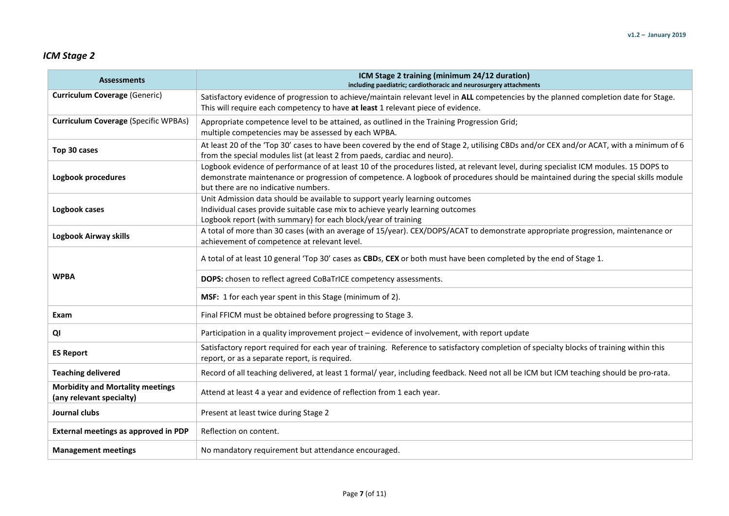## *ICM Stage 2*

| <b>Assessments</b>                                                  | ICM Stage 2 training (minimum 24/12 duration)<br>including paediatric; cardiothoracic and neurosurgery attachments                                                                                                                                                                                                   |  |  |  |  |  |  |  |
|---------------------------------------------------------------------|----------------------------------------------------------------------------------------------------------------------------------------------------------------------------------------------------------------------------------------------------------------------------------------------------------------------|--|--|--|--|--|--|--|
| <b>Curriculum Coverage (Generic)</b>                                | Satisfactory evidence of progression to achieve/maintain relevant level in ALL competencies by the planned completion date for Stage.<br>This will require each competency to have at least 1 relevant piece of evidence.                                                                                            |  |  |  |  |  |  |  |
| <b>Curriculum Coverage (Specific WPBAs)</b>                         | Appropriate competence level to be attained, as outlined in the Training Progression Grid;<br>multiple competencies may be assessed by each WPBA.                                                                                                                                                                    |  |  |  |  |  |  |  |
| Top 30 cases                                                        | At least 20 of the 'Top 30' cases to have been covered by the end of Stage 2, utilising CBDs and/or CEX and/or ACAT, with a minimum of 6<br>from the special modules list (at least 2 from paeds, cardiac and neuro).                                                                                                |  |  |  |  |  |  |  |
| Logbook procedures                                                  | Logbook evidence of performance of at least 10 of the procedures listed, at relevant level, during specialist ICM modules. 15 DOPS to<br>demonstrate maintenance or progression of competence. A logbook of procedures should be maintained during the special skills module<br>but there are no indicative numbers. |  |  |  |  |  |  |  |
| Logbook cases                                                       | Unit Admission data should be available to support yearly learning outcomes<br>Individual cases provide suitable case mix to achieve yearly learning outcomes<br>Logbook report (with summary) for each block/year of training                                                                                       |  |  |  |  |  |  |  |
| <b>Logbook Airway skills</b>                                        | A total of more than 30 cases (with an average of 15/year). CEX/DOPS/ACAT to demonstrate appropriate progression, maintenance or<br>achievement of competence at relevant level.                                                                                                                                     |  |  |  |  |  |  |  |
|                                                                     | A total of at least 10 general 'Top 30' cases as CBDs, CEX or both must have been completed by the end of Stage 1.                                                                                                                                                                                                   |  |  |  |  |  |  |  |
| <b>WPBA</b>                                                         | DOPS: chosen to reflect agreed CoBaTrICE competency assessments.                                                                                                                                                                                                                                                     |  |  |  |  |  |  |  |
|                                                                     | MSF: 1 for each year spent in this Stage (minimum of 2).                                                                                                                                                                                                                                                             |  |  |  |  |  |  |  |
| Exam                                                                | Final FFICM must be obtained before progressing to Stage 3.                                                                                                                                                                                                                                                          |  |  |  |  |  |  |  |
| QI                                                                  | Participation in a quality improvement project - evidence of involvement, with report update                                                                                                                                                                                                                         |  |  |  |  |  |  |  |
| <b>ES Report</b>                                                    | Satisfactory report required for each year of training. Reference to satisfactory completion of specialty blocks of training within this<br>report, or as a separate report, is required.                                                                                                                            |  |  |  |  |  |  |  |
| <b>Teaching delivered</b>                                           | Record of all teaching delivered, at least 1 formal/ year, including feedback. Need not all be ICM but ICM teaching should be pro-rata.                                                                                                                                                                              |  |  |  |  |  |  |  |
| <b>Morbidity and Mortality meetings</b><br>(any relevant specialty) | Attend at least 4 a year and evidence of reflection from 1 each year.                                                                                                                                                                                                                                                |  |  |  |  |  |  |  |
| Journal clubs                                                       | Present at least twice during Stage 2                                                                                                                                                                                                                                                                                |  |  |  |  |  |  |  |
| External meetings as approved in PDP                                | Reflection on content.                                                                                                                                                                                                                                                                                               |  |  |  |  |  |  |  |
| <b>Management meetings</b>                                          | No mandatory requirement but attendance encouraged.                                                                                                                                                                                                                                                                  |  |  |  |  |  |  |  |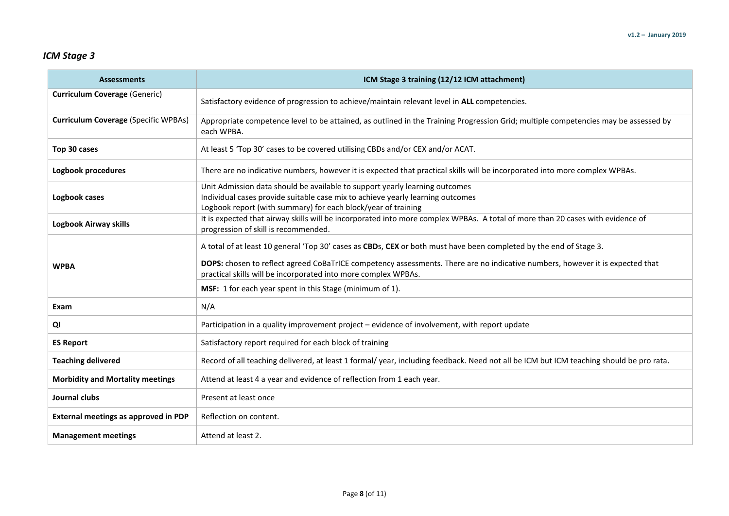## *ICM Stage 3*

| <b>Assessments</b>                          | ICM Stage 3 training (12/12 ICM attachment)                                                                                                                                                                                    |  |  |  |  |  |  |
|---------------------------------------------|--------------------------------------------------------------------------------------------------------------------------------------------------------------------------------------------------------------------------------|--|--|--|--|--|--|
| <b>Curriculum Coverage (Generic)</b>        | Satisfactory evidence of progression to achieve/maintain relevant level in ALL competencies.                                                                                                                                   |  |  |  |  |  |  |
| <b>Curriculum Coverage (Specific WPBAs)</b> | Appropriate competence level to be attained, as outlined in the Training Progression Grid; multiple competencies may be assessed by<br>each WPBA.                                                                              |  |  |  |  |  |  |
| Top 30 cases                                | At least 5 'Top 30' cases to be covered utilising CBDs and/or CEX and/or ACAT.                                                                                                                                                 |  |  |  |  |  |  |
| Logbook procedures                          | There are no indicative numbers, however it is expected that practical skills will be incorporated into more complex WPBAs.                                                                                                    |  |  |  |  |  |  |
| Logbook cases                               | Unit Admission data should be available to support yearly learning outcomes<br>Individual cases provide suitable case mix to achieve yearly learning outcomes<br>Logbook report (with summary) for each block/year of training |  |  |  |  |  |  |
| Logbook Airway skills                       | It is expected that airway skills will be incorporated into more complex WPBAs. A total of more than 20 cases with evidence of<br>progression of skill is recommended.                                                         |  |  |  |  |  |  |
|                                             | A total of at least 10 general 'Top 30' cases as CBDs, CEX or both must have been completed by the end of Stage 3.                                                                                                             |  |  |  |  |  |  |
| <b>WPBA</b>                                 | DOPS: chosen to reflect agreed CoBaTrICE competency assessments. There are no indicative numbers, however it is expected that<br>practical skills will be incorporated into more complex WPBAs.                                |  |  |  |  |  |  |
|                                             | MSF: 1 for each year spent in this Stage (minimum of 1).                                                                                                                                                                       |  |  |  |  |  |  |
| Exam                                        | N/A                                                                                                                                                                                                                            |  |  |  |  |  |  |
| QI                                          | Participation in a quality improvement project - evidence of involvement, with report update                                                                                                                                   |  |  |  |  |  |  |
| <b>ES Report</b>                            | Satisfactory report required for each block of training                                                                                                                                                                        |  |  |  |  |  |  |
| <b>Teaching delivered</b>                   | Record of all teaching delivered, at least 1 formal/ year, including feedback. Need not all be ICM but ICM teaching should be pro rata.                                                                                        |  |  |  |  |  |  |
| <b>Morbidity and Mortality meetings</b>     | Attend at least 4 a year and evidence of reflection from 1 each year.                                                                                                                                                          |  |  |  |  |  |  |
| Journal clubs                               | Present at least once                                                                                                                                                                                                          |  |  |  |  |  |  |
| External meetings as approved in PDP        | Reflection on content.                                                                                                                                                                                                         |  |  |  |  |  |  |
| <b>Management meetings</b>                  | Attend at least 2.                                                                                                                                                                                                             |  |  |  |  |  |  |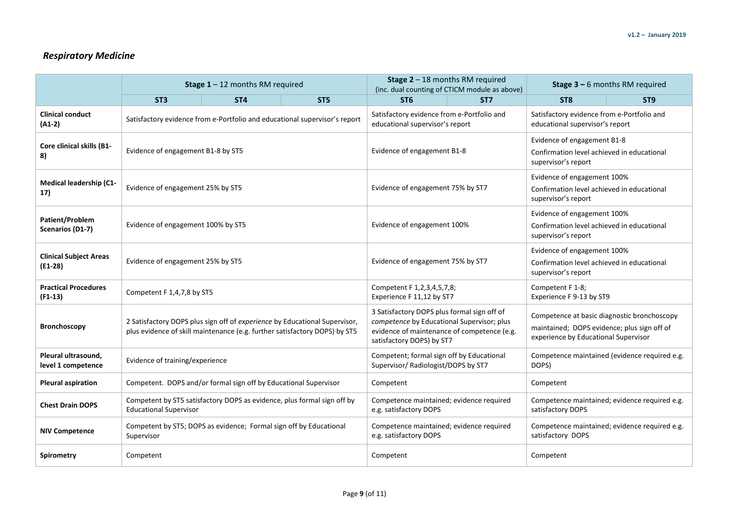## *Respiratory Medicine*

<span id="page-8-0"></span>

|                                            |                                                                                                                                                          | <b>Stage 1</b> - 12 months RM required                                  |                                                                            |                                                                                                                                                                       | <b>Stage 2</b> $-$ 18 months RM required<br>(inc. dual counting of CTICM module as above) | <b>Stage 3 - 6 months RM required</b>                                                                                              |                          |  |  |
|--------------------------------------------|----------------------------------------------------------------------------------------------------------------------------------------------------------|-------------------------------------------------------------------------|----------------------------------------------------------------------------|-----------------------------------------------------------------------------------------------------------------------------------------------------------------------|-------------------------------------------------------------------------------------------|------------------------------------------------------------------------------------------------------------------------------------|--------------------------|--|--|
|                                            | ST <sub>3</sub>                                                                                                                                          | ST <sub>4</sub>                                                         | ST <sub>5</sub>                                                            | ST <sub>6</sub>                                                                                                                                                       | ST <sub>7</sub>                                                                           | ST <sub>8</sub>                                                                                                                    | ST <sub>9</sub>          |  |  |
| <b>Clinical conduct</b><br>$(A1-2)$        |                                                                                                                                                          |                                                                         | Satisfactory evidence from e-Portfolio and educational supervisor's report | Satisfactory evidence from e-Portfolio and<br>educational supervisor's report                                                                                         |                                                                                           | Satisfactory evidence from e-Portfolio and<br>educational supervisor's report                                                      |                          |  |  |
| <b>Core clinical skills (B1-</b><br>8)     | Evidence of engagement B1-8 by ST5                                                                                                                       |                                                                         |                                                                            | Evidence of engagement B1-8                                                                                                                                           |                                                                                           | Evidence of engagement B1-8<br>Confirmation level achieved in educational<br>supervisor's report                                   |                          |  |  |
| <b>Medical leadership (C1-</b><br>17)      | Evidence of engagement 25% by ST5                                                                                                                        |                                                                         |                                                                            | Evidence of engagement 75% by ST7                                                                                                                                     |                                                                                           | Evidence of engagement 100%<br>Confirmation level achieved in educational<br>supervisor's report                                   |                          |  |  |
| Patient/Problem<br>Scenarios (D1-7)        | Evidence of engagement 100% by ST5                                                                                                                       |                                                                         |                                                                            | Evidence of engagement 100%                                                                                                                                           |                                                                                           | Evidence of engagement 100%<br>Confirmation level achieved in educational<br>supervisor's report                                   |                          |  |  |
| <b>Clinical Subject Areas</b><br>$(E1-28)$ | Evidence of engagement 25% by ST5                                                                                                                        |                                                                         |                                                                            | Evidence of engagement 75% by ST7                                                                                                                                     |                                                                                           | Evidence of engagement 100%<br>Confirmation level achieved in educational<br>supervisor's report                                   |                          |  |  |
| <b>Practical Procedures</b><br>$(F1-13)$   | Competent F 1,4,7,8 by ST5                                                                                                                               |                                                                         |                                                                            | Competent F 1, 2, 3, 4, 5, 7, 8;<br>Experience F 11,12 by ST7                                                                                                         |                                                                                           | Competent F 1-8;                                                                                                                   | Experience F 9-13 by ST9 |  |  |
| <b>Bronchoscopy</b>                        | 2 Satisfactory DOPS plus sign off of experience by Educational Supervisor,<br>plus evidence of skill maintenance (e.g. further satisfactory DOPS) by ST5 |                                                                         |                                                                            | 3 Satisfactory DOPS plus formal sign off of<br>competence by Educational Supervisor; plus<br>evidence of maintenance of competence (e.g.<br>satisfactory DOPS) by ST7 |                                                                                           | Competence at basic diagnostic bronchoscopy<br>maintained; DOPS evidence; plus sign off of<br>experience by Educational Supervisor |                          |  |  |
| Pleural ultrasound,<br>level 1 competence  | Evidence of training/experience                                                                                                                          |                                                                         |                                                                            | Competent; formal sign off by Educational<br>Supervisor/ Radiologist/DOPS by ST7                                                                                      |                                                                                           | Competence maintained (evidence required e.g.<br>DOPS)                                                                             |                          |  |  |
| <b>Pleural aspiration</b>                  | Competent. DOPS and/or formal sign off by Educational Supervisor                                                                                         |                                                                         |                                                                            | Competent                                                                                                                                                             |                                                                                           | Competent                                                                                                                          |                          |  |  |
| <b>Chest Drain DOPS</b>                    | <b>Educational Supervisor</b>                                                                                                                            | Competent by ST5 satisfactory DOPS as evidence, plus formal sign off by |                                                                            | Competence maintained; evidence required<br>e.g. satisfactory DOPS                                                                                                    |                                                                                           | Competence maintained; evidence required e.g.<br>satisfactory DOPS                                                                 |                          |  |  |
| <b>NIV Competence</b>                      | Competent by ST5; DOPS as evidence; Formal sign off by Educational<br>Supervisor                                                                         |                                                                         |                                                                            | Competence maintained; evidence required<br>e.g. satisfactory DOPS                                                                                                    |                                                                                           | Competence maintained; evidence required e.g.<br>satisfactory DOPS                                                                 |                          |  |  |
| <b>Spirometry</b>                          | Competent                                                                                                                                                |                                                                         |                                                                            | Competent                                                                                                                                                             |                                                                                           | Competent                                                                                                                          |                          |  |  |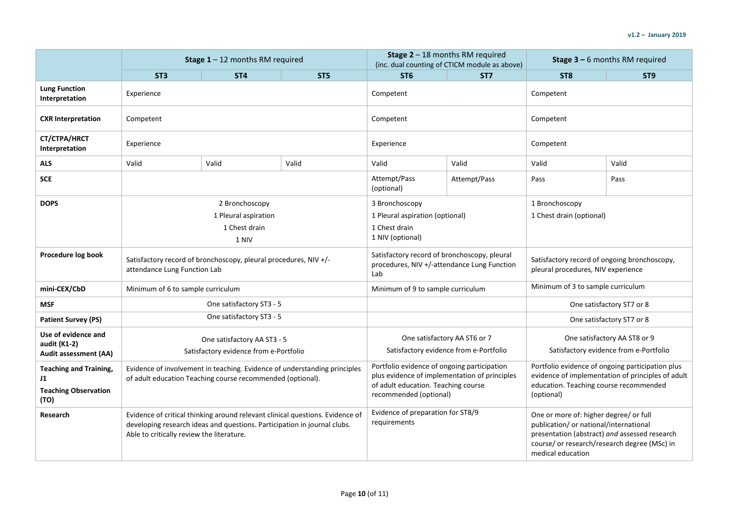|                                                                            |                                           | <b>Stage 1</b> - 12 months RM required                                   |                                                                               |                                                                                                                                                               | <b>Stage 2</b> $-$ 18 months RM required<br>(inc. dual counting of CTICM module as above) |                                                                                                                                                                                                        | <b>Stage 3 - 6 months RM required</b> |  |
|----------------------------------------------------------------------------|-------------------------------------------|--------------------------------------------------------------------------|-------------------------------------------------------------------------------|---------------------------------------------------------------------------------------------------------------------------------------------------------------|-------------------------------------------------------------------------------------------|--------------------------------------------------------------------------------------------------------------------------------------------------------------------------------------------------------|---------------------------------------|--|
|                                                                            | ST <sub>3</sub>                           | ST <sub>4</sub>                                                          | ST <sub>5</sub>                                                               | ST <sub>6</sub>                                                                                                                                               | ST <sub>7</sub>                                                                           | ST <sub>8</sub>                                                                                                                                                                                        | ST <sub>9</sub>                       |  |
| <b>Lung Function</b><br>Interpretation                                     | Experience                                |                                                                          |                                                                               | Competent                                                                                                                                                     |                                                                                           | Competent                                                                                                                                                                                              |                                       |  |
| <b>CXR Interpretation</b>                                                  | Competent                                 |                                                                          |                                                                               | Competent                                                                                                                                                     |                                                                                           | Competent                                                                                                                                                                                              |                                       |  |
| CT/CTPA/HRCT<br>Interpretation                                             | Experience                                |                                                                          |                                                                               | Experience                                                                                                                                                    |                                                                                           | Competent                                                                                                                                                                                              |                                       |  |
| <b>ALS</b>                                                                 | Valid                                     | Valid                                                                    | Valid                                                                         | Valid                                                                                                                                                         | Valid                                                                                     | Valid                                                                                                                                                                                                  | Valid                                 |  |
| <b>SCE</b>                                                                 |                                           |                                                                          |                                                                               | Attempt/Pass<br>(optional)                                                                                                                                    | Attempt/Pass                                                                              | Pass                                                                                                                                                                                                   | Pass                                  |  |
| <b>DOPS</b>                                                                |                                           | 2 Bronchoscopy<br>1 Pleural aspiration<br>1 Chest drain<br>1 NIV         |                                                                               | 3 Bronchoscopy<br>1 Pleural aspiration (optional)<br>1 Chest drain<br>1 NIV (optional)                                                                        |                                                                                           | 1 Bronchoscopy<br>1 Chest drain (optional)                                                                                                                                                             |                                       |  |
| Procedure log book                                                         | attendance Lung Function Lab              | Satisfactory record of bronchoscopy, pleural procedures, NIV +/-         |                                                                               | Satisfactory record of bronchoscopy, pleural<br>procedures, NIV +/-attendance Lung Function<br>Lab                                                            |                                                                                           | Satisfactory record of ongoing bronchoscopy,<br>pleural procedures, NIV experience                                                                                                                     |                                       |  |
| mini-CEX/CbD                                                               | Minimum of 6 to sample curriculum         |                                                                          |                                                                               | Minimum of 9 to sample curriculum                                                                                                                             |                                                                                           | Minimum of 3 to sample curriculum                                                                                                                                                                      |                                       |  |
| <b>MSF</b>                                                                 |                                           | One satisfactory ST3 - 5                                                 |                                                                               |                                                                                                                                                               |                                                                                           | One satisfactory ST7 or 8                                                                                                                                                                              |                                       |  |
| <b>Patient Survey (PS)</b>                                                 |                                           | One satisfactory ST3 - 5                                                 |                                                                               |                                                                                                                                                               |                                                                                           | One satisfactory ST7 or 8                                                                                                                                                                              |                                       |  |
| Use of evidence and<br>audit (K1-2)<br>Audit assessment (AA)               |                                           | One satisfactory AA ST3 - 5<br>Satisfactory evidence from e-Portfolio    |                                                                               | One satisfactory AA ST6 or 7<br>Satisfactory evidence from e-Portfolio                                                                                        |                                                                                           | One satisfactory AA ST8 or 9<br>Satisfactory evidence from e-Portfolio                                                                                                                                 |                                       |  |
| <b>Teaching and Training,</b><br>J1<br><b>Teaching Observation</b><br>(TO) |                                           | of adult education Teaching course recommended (optional).               | Evidence of involvement in teaching. Evidence of understanding principles     | Portfolio evidence of ongoing participation<br>plus evidence of implementation of principles<br>of adult education. Teaching course<br>recommended (optional) |                                                                                           | Portfolio evidence of ongoing participation plus<br>evidence of implementation of principles of adult<br>education. Teaching course recommended<br>(optional)                                          |                                       |  |
| Research                                                                   | Able to critically review the literature. | developing research ideas and questions. Participation in journal clubs. | Evidence of critical thinking around relevant clinical questions. Evidence of | Evidence of preparation for ST8/9<br>requirements                                                                                                             |                                                                                           | One or more of: higher degree/ or full<br>publication/ or national/international<br>presentation (abstract) and assessed research<br>course/ or research/research degree (MSc) in<br>medical education |                                       |  |